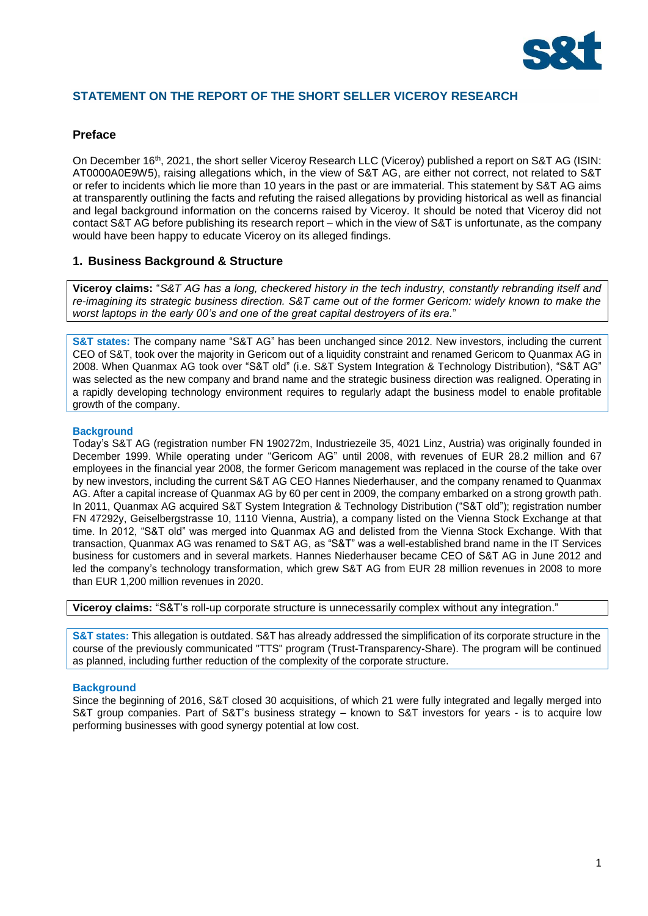

# **STATEMENT ON THE REPORT OF THE SHORT SELLER VICEROY RESEARCH**

## **Preface**

On December 16<sup>th</sup>, 2021, the short seller Viceroy Research LLC (Viceroy) published a report on S&T AG (ISIN: AT0000A0E9W5), raising allegations which, in the view of S&T AG, are either not correct, not related to S&T or refer to incidents which lie more than 10 years in the past or are immaterial. This statement by S&T AG aims at transparently outlining the facts and refuting the raised allegations by providing historical as well as financial and legal background information on the concerns raised by Viceroy. It should be noted that Viceroy did not contact S&T AG before publishing its research report – which in the view of S&T is unfortunate, as the company would have been happy to educate Viceroy on its alleged findings.

# **1. Business Background & Structure**

**Viceroy claims:** "*S&T AG has a long, checkered history in the tech industry, constantly rebranding itself and re-imagining its strategic business direction. S&T came out of the former Gericom: widely known to make the worst laptops in the early 00's and one of the great capital destroyers of its era.*"

**S&T states:** The company name "S&T AG" has been unchanged since 2012. New investors, including the current CEO of S&T, took over the majority in Gericom out of a liquidity constraint and renamed Gericom to Quanmax AG in 2008. When Quanmax AG took over "S&T old" (i.e. S&T System Integration & Technology Distribution), "S&T AG" was selected as the new company and brand name and the strategic business direction was realigned. Operating in a rapidly developing technology environment requires to regularly adapt the business model to enable profitable growth of the company.

## **Background**

Today's S&T AG (registration number FN 190272m, Industriezeile 35, 4021 Linz, Austria) was originally founded in December 1999. While operating under "Gericom AG" until 2008, with revenues of EUR 28.2 million and 67 employees in the financial year 2008, the former Gericom management was replaced in the course of the take over by new investors, including the current S&T AG CEO Hannes Niederhauser, and the company renamed to Quanmax AG. After a capital increase of Quanmax AG by 60 per cent in 2009, the company embarked on a strong growth path. In 2011, Quanmax AG acquired S&T System Integration & Technology Distribution ("S&T old"); registration number FN 47292y, Geiselbergstrasse 10, 1110 Vienna, Austria), a company listed on the Vienna Stock Exchange at that time. In 2012, "S&T old" was merged into Quanmax AG and delisted from the Vienna Stock Exchange. With that transaction, Quanmax AG was renamed to S&T AG, as "S&T" was a well-established brand name in the IT Services business for customers and in several markets. Hannes Niederhauser became CEO of S&T AG in June 2012 and led the company's technology transformation, which grew S&T AG from EUR 28 million revenues in 2008 to more than EUR 1,200 million revenues in 2020.

**Viceroy claims:** "S&T's roll-up corporate structure is unnecessarily complex without any integration."

**S&T states:** This allegation is outdated. S&T has already addressed the simplification of its corporate structure in the course of the previously communicated "TTS" program (Trust-Transparency-Share). The program will be continued as planned, including further reduction of the complexity of the corporate structure.

### **Background**

Since the beginning of 2016, S&T closed 30 acquisitions, of which 21 were fully integrated and legally merged into S&T group companies. Part of S&T's business strategy – known to S&T investors for years - is to acquire low performing businesses with good synergy potential at low cost.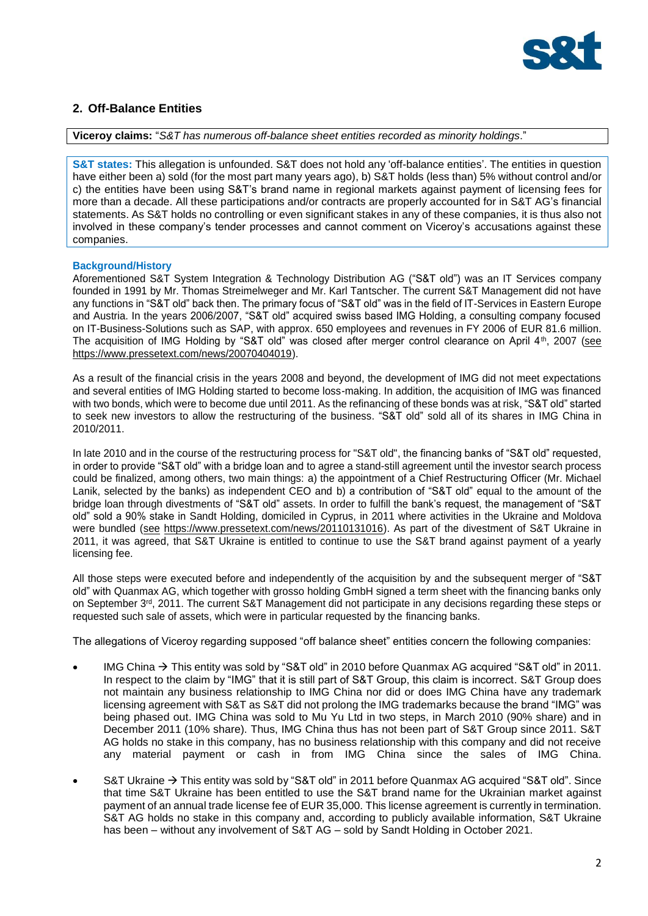

# **2. Off-Balance Entities**

**Viceroy claims:** "*S&T has numerous off-balance sheet entities recorded as minority holdings*."

**S&T states:** This allegation is unfounded. S&T does not hold any 'off-balance entities'. The entities in question have either been a) sold (for the most part many years ago), b) S&T holds (less than) 5% without control and/or c) the entities have been using S&T's brand name in regional markets against payment of licensing fees for more than a decade. All these participations and/or contracts are properly accounted for in S&T AG's financial statements. As S&T holds no controlling or even significant stakes in any of these companies, it is thus also not involved in these company's tender processes and cannot comment on Viceroy's accusations against these companies.

### **Background/History**

Aforementioned S&T System Integration & Technology Distribution AG ("S&T old") was an IT Services company founded in 1991 by Mr. Thomas Streimelweger and Mr. Karl Tantscher. The current S&T Management did not have any functions in "S&T old" back then. The primary focus of "S&T old" was in the field of IT-Services in Eastern Europe and Austria. In the years 2006/2007, "S&T old" acquired swiss based IMG Holding, a consulting company focused on IT-Business-Solutions such as SAP, with approx. 650 employees and revenues in FY 2006 of EUR 81.6 million. The acquisition of IMG Holding by "S&T old" was closed after merger control clearance on April 4<sup>th</sup>, 2007 (see [https://www.pressetext.com/news/20070404019\)](https://www.pressetext.com/news/20070404019).

As a result of the financial crisis in the years 2008 and beyond, the development of IMG did not meet expectations and several entities of IMG Holding started to become loss-making. In addition, the acquisition of IMG was financed with two bonds, which were to become due until 2011. As the refinancing of these bonds was at risk, "S&T old" started to seek new investors to allow the restructuring of the business. "S&T old" sold all of its shares in IMG China in 2010/2011.

In late 2010 and in the course of the restructuring process for "S&T old", the financing banks of "S&T old" requested, in order to provide "S&T old" with a bridge loan and to agree a stand-still agreement until the investor search process could be finalized, among others, two main things: a) the appointment of a Chief Restructuring Officer (Mr. Michael Lanik, selected by the banks) as independent CEO and b) a contribution of "S&T old" equal to the amount of the bridge loan through divestments of "S&T old" assets. In order to fulfill the bank's request, the management of "S&T old" sold a 90% stake in Sandt Holding, domiciled in Cyprus, in 2011 where activities in the Ukraine and Moldova were bundled (see [https://www.pressetext.com/news/20110131016\)](https://www.pressetext.com/news/20110131016). As part of the divestment of S&T Ukraine in 2011, it was agreed, that S&T Ukraine is entitled to continue to use the S&T brand against payment of a yearly licensing fee.

All those steps were executed before and independently of the acquisition by and the subsequent merger of "S&T old" with Quanmax AG, which together with grosso holding GmbH signed a term sheet with the financing banks only on September 3<sup>rd</sup>, 2011. The current S&T Management did not participate in any decisions regarding these steps or requested such sale of assets, which were in particular requested by the financing banks.

The allegations of Viceroy regarding supposed "off balance sheet" entities concern the following companies:

- IMG China → This entity was sold by "S&T old" in 2010 before Quanmax AG acquired "S&T old" in 2011. In respect to the claim by "IMG" that it is still part of S&T Group, this claim is incorrect. S&T Group does not maintain any business relationship to IMG China nor did or does IMG China have any trademark licensing agreement with S&T as S&T did not prolong the IMG trademarks because the brand "IMG" was being phased out. IMG China was sold to Mu Yu Ltd in two steps, in March 2010 (90% share) and in December 2011 (10% share). Thus, IMG China thus has not been part of S&T Group since 2011. S&T AG holds no stake in this company, has no business relationship with this company and did not receive any material payment or cash in from IMG China since the sales of IMG China.
- S&T Ukraine → This entity was sold by "S&T old" in 2011 before Quanmax AG acquired "S&T old". Since that time S&T Ukraine has been entitled to use the S&T brand name for the Ukrainian market against payment of an annual trade license fee of EUR 35,000. This license agreement is currently in termination. S&T AG holds no stake in this company and, according to publicly available information, S&T Ukraine has been – without any involvement of S&T AG – sold by Sandt Holding in October 2021.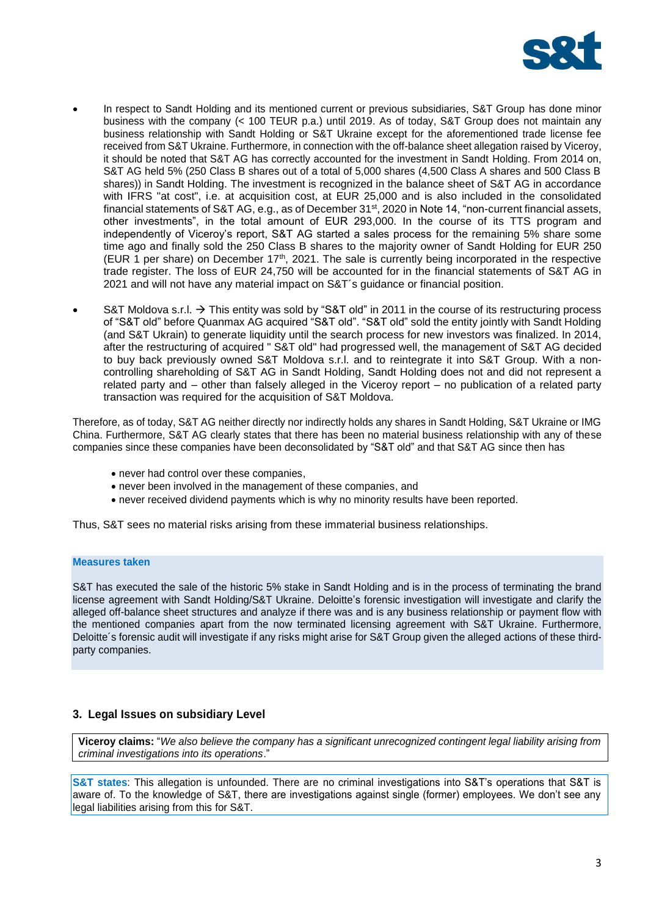

- In respect to Sandt Holding and its mentioned current or previous subsidiaries, S&T Group has done minor business with the company (< 100 TEUR p.a.) until 2019. As of today, S&T Group does not maintain any business relationship with Sandt Holding or S&T Ukraine except for the aforementioned trade license fee received from S&T Ukraine. Furthermore, in connection with the off-balance sheet allegation raised by Viceroy, it should be noted that S&T AG has correctly accounted for the investment in Sandt Holding. From 2014 on, S&T AG held 5% (250 Class B shares out of a total of 5,000 shares (4,500 Class A shares and 500 Class B shares)) in Sandt Holding. The investment is recognized in the balance sheet of S&T AG in accordance with IFRS "at cost", i.e. at acquisition cost, at EUR 25,000 and is also included in the consolidated financial statements of S&T AG, e.g., as of December 31<sup>st</sup>, 2020 in Note 14, "non-current financial assets, other investments", in the total amount of EUR 293,000. In the course of its TTS program and independently of Viceroy's report, S&T AG started a sales process for the remaining 5% share some time ago and finally sold the 250 Class B shares to the majority owner of Sandt Holding for EUR 250 (EUR 1 per share) on December 17<sup>th</sup>, 2021. The sale is currently being incorporated in the respective trade register. The loss of EUR 24,750 will be accounted for in the financial statements of S&T AG in 2021 and will not have any material impact on S&T´s guidance or financial position.
- S&T Moldova s.r.l.  $\rightarrow$  This entity was sold by "S&T old" in 2011 in the course of its restructuring process of "S&T old" before Quanmax AG acquired "S&T old". "S&T old" sold the entity jointly with Sandt Holding (and S&T Ukrain) to generate liquidity until the search process for new investors was finalized. In 2014, after the restructuring of acquired " S&T old" had progressed well, the management of S&T AG decided to buy back previously owned S&T Moldova s.r.l. and to reintegrate it into S&T Group. With a noncontrolling shareholding of S&T AG in Sandt Holding, Sandt Holding does not and did not represent a related party and – other than falsely alleged in the Viceroy report – no publication of a related party transaction was required for the acquisition of S&T Moldova.

Therefore, as of today, S&T AG neither directly nor indirectly holds any shares in Sandt Holding, S&T Ukraine or IMG China. Furthermore, S&T AG clearly states that there has been no material business relationship with any of these companies since these companies have been deconsolidated by "S&T old" and that S&T AG since then has

- never had control over these companies,
- never been involved in the management of these companies, and
- never received dividend payments which is why no minority results have been reported.

Thus, S&T sees no material risks arising from these immaterial business relationships.

### **Measures taken**

S&T has executed the sale of the historic 5% stake in Sandt Holding and is in the process of terminating the brand license agreement with Sandt Holding/S&T Ukraine. Deloitte's forensic investigation will investigate and clarify the alleged off-balance sheet structures and analyze if there was and is any business relationship or payment flow with the mentioned companies apart from the now terminated licensing agreement with S&T Ukraine. Furthermore, Deloitte´s forensic audit will investigate if any risks might arise for S&T Group given the alleged actions of these thirdparty companies.

## **3. Legal Issues on subsidiary Level**

**Viceroy claims:** "*We also believe the company has a significant unrecognized contingent legal liability arising from criminal investigations into its operations*."

**S&T states**: This allegation is unfounded. There are no criminal investigations into S&T's operations that S&T is aware of. To the knowledge of S&T, there are investigations against single (former) employees. We don't see any legal liabilities arising from this for S&T.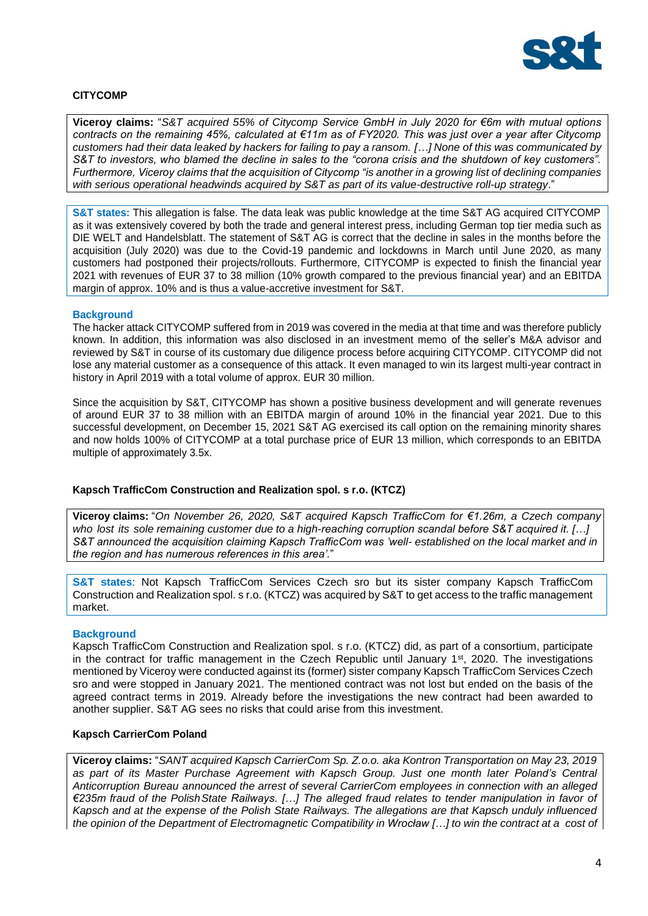

## **CITYCOMP**

**Viceroy claims:** "*S&T acquired 55% of Citycomp Service GmbH in July 2020 for €6m with mutual options contracts on the remaining 45%, calculated at €11m as of FY2020. This was just over a year after Citycomp customers had their data leaked by hackers for failing to pay a ransom. […] None of this was communicated by S&T to investors, who blamed the decline in sales to the "corona crisis and the shutdown of key customers". Furthermore, Viceroy claims that the acquisition of Citycomp "is another in a growing list of declining companies with serious operational headwinds acquired by S&T as part of its value-destructive roll-up strategy*."

**S&T states:** This allegation is false. The data leak was public knowledge at the time S&T AG acquired CITYCOMP as it was extensively covered by both the trade and general interest press, including German top tier media such as DIE WELT and Handelsblatt. The statement of S&T AG is correct that the decline in sales in the months before the acquisition (July 2020) was due to the Covid-19 pandemic and lockdowns in March until June 2020, as many customers had postponed their projects/rollouts. Furthermore, CITYCOMP is expected to finish the financial year 2021 with revenues of EUR 37 to 38 million (10% growth compared to the previous financial year) and an EBITDA margin of approx. 10% and is thus a value-accretive investment for S&T.

#### **Background**

The hacker attack CITYCOMP suffered from in 2019 was covered in the media at that time and was therefore publicly known. In addition, this information was also disclosed in an investment memo of the seller's M&A advisor and reviewed by S&T in course of its customary due diligence process before acquiring CITYCOMP. CITYCOMP did not lose any material customer as a consequence of this attack. It even managed to win its largest multi-year contract in history in April 2019 with a total volume of approx. EUR 30 million.

Since the acquisition by S&T, CITYCOMP has shown a positive business development and will generate revenues of around EUR 37 to 38 million with an EBITDA margin of around 10% in the financial year 2021. Due to this successful development, on December 15, 2021 S&T AG exercised its call option on the remaining minority shares and now holds 100% of CITYCOMP at a total purchase price of EUR 13 million, which corresponds to an EBITDA multiple of approximately 3.5x.

### **Kapsch TrafficCom Construction and Realization spol. s r.o. (KTCZ)**

**Viceroy claims:** "*On November 26, 2020, S&T acquired Kapsch TrafficCom for €1.26m, a Czech company who lost its sole remaining customer due to a high-reaching corruption scandal before S&T acquired it. […] S&T announced the acquisition claiming Kapsch TrafficCom was 'well- established on the local market and in the region and has numerous references in this area'.*"

**S&T states**: Not Kapsch TrafficCom Services Czech sro but its sister company Kapsch TrafficCom Construction and Realization spol. s r.o. (KTCZ) was acquired by S&T to get access to the traffic management market.

### **Background**

Kapsch TrafficCom Construction and Realization spol. s r.o. (KTCZ) did, as part of a consortium, participate in the contract for traffic management in the Czech Republic until January 1<sup>st</sup>, 2020. The investigations mentioned by Viceroy were conducted against its (former) sister company Kapsch TrafficCom Services Czech sro and were stopped in January 2021. The mentioned contract was not lost but ended on the basis of the agreed contract terms in 2019. Already before the investigations the new contract had been awarded to another supplier. S&T AG sees no risks that could arise from this investment.

### **Kapsch CarrierCom Poland**

**Viceroy claims:** "*SANT acquired Kapsch CarrierCom Sp. Z.o.o. aka Kontron Transportation on May 23, 2019 as part of its Master Purchase Agreement with Kapsch Group. Just one month later Poland's Central Anticorruption Bureau announced the arrest of several CarrierCom employees in connection with an alleged €235m fraud of the PolishState Railways. […] The alleged fraud relates to tender manipulation in favor of Kapsch and at the expense of the Polish State Railways. The allegations are that Kapsch unduly influenced the opinion of the Department of Electromagnetic Compatibility in Wrocław […] to win the contract at a cost of*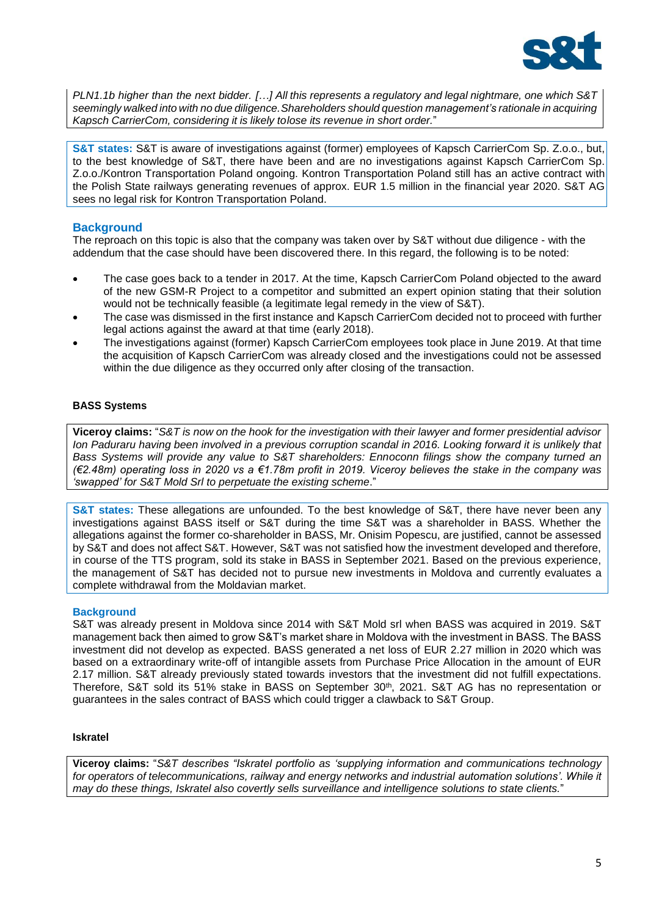

*PLN1.1b higher than the next bidder. […] All this represents a regulatory and legal nightmare, one which S&T seemingly walked into with no due diligence.Shareholders should question management's rationale in acquiring Kapsch CarrierCom, considering it is likely tolose its revenue in short order.*"

**S&T states:** S&T is aware of investigations against (former) employees of Kapsch CarrierCom Sp. Z.o.o., but, to the best knowledge of S&T, there have been and are no investigations against Kapsch CarrierCom Sp. Z.o.o./Kontron Transportation Poland ongoing. Kontron Transportation Poland still has an active contract with the Polish State railways generating revenues of approx. EUR 1.5 million in the financial year 2020. S&T AG sees no legal risk for Kontron Transportation Poland.

# **Background**

The reproach on this topic is also that the company was taken over by S&T without due diligence - with the addendum that the case should have been discovered there. In this regard, the following is to be noted:

- The case goes back to a tender in 2017. At the time, Kapsch CarrierCom Poland objected to the award of the new GSM-R Project to a competitor and submitted an expert opinion stating that their solution would not be technically feasible (a legitimate legal remedy in the view of S&T).
- The case was dismissed in the first instance and Kapsch CarrierCom decided not to proceed with further legal actions against the award at that time (early 2018).
- The investigations against (former) Kapsch CarrierCom employees took place in June 2019. At that time the acquisition of Kapsch CarrierCom was already closed and the investigations could not be assessed within the due diligence as they occurred only after closing of the transaction.

## **BASS Systems**

**Viceroy claims:** "*S&T is now on the hook for the investigation with their lawyer and former presidential advisor Ion Paduraru having been involved in a previous corruption scandal in 2016. Looking forward it is unlikely that Bass Systems will provide any value to S&T shareholders: Ennoconn filings show the company turned an (€2.48m) operating loss in 2020 vs a €1.78m profit in 2019. Viceroy believes the stake in the company was 'swapped' for S&T Mold Srl to perpetuate the existing scheme*."

**S&T states:** These allegations are unfounded. To the best knowledge of S&T, there have never been any investigations against BASS itself or S&T during the time S&T was a shareholder in BASS. Whether the allegations against the former co-shareholder in BASS, Mr. Onisim Popescu, are justified, cannot be assessed by S&T and does not affect S&T. However, S&T was not satisfied how the investment developed and therefore, in course of the TTS program, sold its stake in BASS in September 2021. Based on the previous experience, the management of S&T has decided not to pursue new investments in Moldova and currently evaluates a complete withdrawal from the Moldavian market.

# **Background**

S&T was already present in Moldova since 2014 with S&T Mold srl when BASS was acquired in 2019. S&T management back then aimed to grow S&T's market share in Moldova with the investment in BASS. The BASS investment did not develop as expected. BASS generated a net loss of EUR 2.27 million in 2020 which was based on a extraordinary write-off of intangible assets from Purchase Price Allocation in the amount of EUR 2.17 million. S&T already previously stated towards investors that the investment did not fulfill expectations. Therefore, S&T sold its 51% stake in BASS on September 30<sup>th</sup>, 2021. S&T AG has no representation or guarantees in the sales contract of BASS which could trigger a clawback to S&T Group.

## **Iskratel**

**Viceroy claims:** "*S&T describes "Iskratel portfolio as 'supplying information and communications technology for operators of telecommunications, railway and energy networks and industrial automation solutions'. While it may do these things, Iskratel also covertly sells surveillance and intelligence solutions to state clients.*"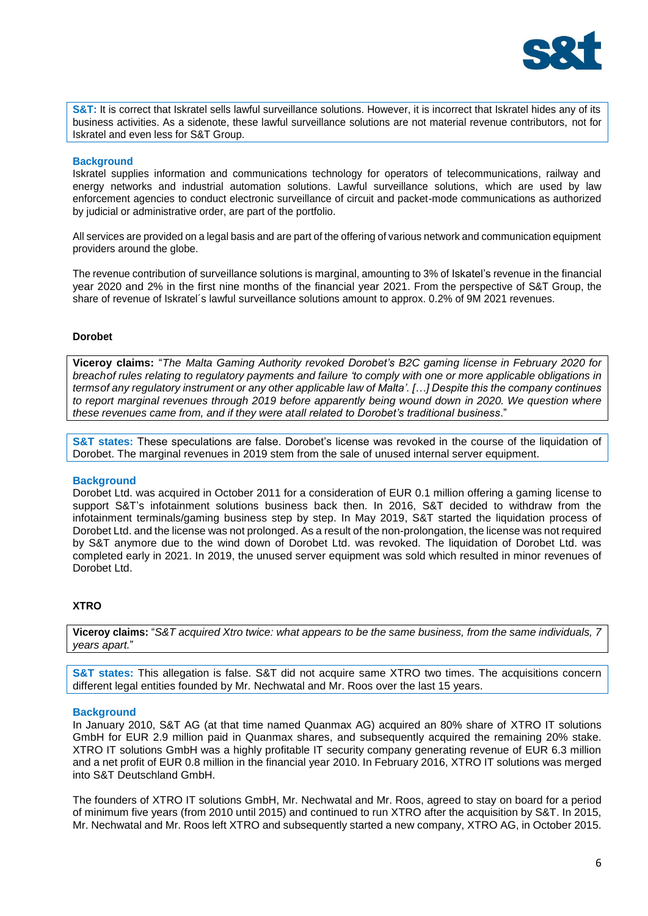

**S&T:** It is correct that Iskratel sells lawful surveillance solutions. However, it is incorrect that Iskratel hides any of its business activities. As a sidenote, these lawful surveillance solutions are not material revenue contributors, not for Iskratel and even less for S&T Group.

### **Background**

Iskratel supplies information and communications technology for operators of telecommunications, railway and energy networks and industrial automation solutions. Lawful surveillance solutions, which are used by law enforcement agencies to conduct electronic surveillance of circuit and packet-mode communications as authorized by judicial or administrative order, are part of the portfolio.

All services are provided on a legal basis and are part of the offering of various network and communication equipment providers around the globe.

The revenue contribution of surveillance solutions is marginal, amounting to 3% of Iskatel's revenue in the financial year 2020 and 2% in the first nine months of the financial year 2021. From the perspective of S&T Group, the share of revenue of Iskratel's lawful surveillance solutions amount to approx. 0.2% of 9M 2021 revenues.

### **Dorobet**

**Viceroy claims:** "*The Malta Gaming Authority revoked Dorobet's B2C gaming license in February 2020 for* breachof rules relating to regulatory payments and failure 'to comply with one or more applicable obligations in *termsof any regulatory instrument or any other applicable law of Malta'. […] Despite this the company continues to report marginal revenues through 2019 before apparently being wound down in 2020. We question where these revenues came from, and if they were atall related to Dorobet's traditional business*."

**S&T states:** These speculations are false. Dorobet's license was revoked in the course of the liquidation of Dorobet. The marginal revenues in 2019 stem from the sale of unused internal server equipment.

### **Background**

Dorobet Ltd. was acquired in October 2011 for a consideration of EUR 0.1 million offering a gaming license to support S&T's infotainment solutions business back then. In 2016, S&T decided to withdraw from the infotainment terminals/gaming business step by step. In May 2019, S&T started the liquidation process of Dorobet Ltd. and the license was not prolonged. As a result of the non-prolongation, the license was not required by S&T anymore due to the wind down of Dorobet Ltd. was revoked. The liquidation of Dorobet Ltd. was completed early in 2021. In 2019, the unused server equipment was sold which resulted in minor revenues of Dorobet Ltd.

## **XTRO**

**Viceroy claims:** "*S&T acquired Xtro twice: what appears to be the same business, from the same individuals, 7 years apart.*"

**S&T states:** This allegation is false. S&T did not acquire same XTRO two times. The acquisitions concern different legal entities founded by Mr. Nechwatal and Mr. Roos over the last 15 years.

### **Background**

In January 2010, S&T AG (at that time named Quanmax AG) acquired an 80% share of XTRO IT solutions GmbH for EUR 2.9 million paid in Quanmax shares, and subsequently acquired the remaining 20% stake. XTRO IT solutions GmbH was a highly profitable IT security company generating revenue of EUR 6.3 million and a net profit of EUR 0.8 million in the financial year 2010. In February 2016, XTRO IT solutions was merged into S&T Deutschland GmbH.

The founders of XTRO IT solutions GmbH, Mr. Nechwatal and Mr. Roos, agreed to stay on board for a period of minimum five years (from 2010 until 2015) and continued to run XTRO after the acquisition by S&T. In 2015, Mr. Nechwatal and Mr. Roos left XTRO and subsequently started a new company, XTRO AG, in October 2015.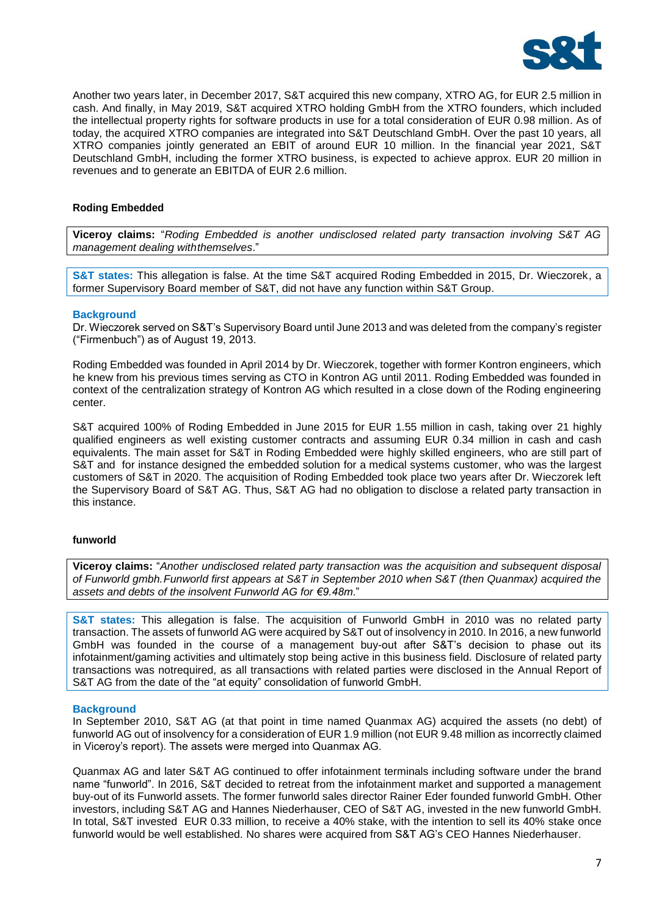

Another two years later, in December 2017, S&T acquired this new company, XTRO AG, for EUR 2.5 million in cash. And finally, in May 2019, S&T acquired XTRO holding GmbH from the XTRO founders, which included the intellectual property rights for software products in use for a total consideration of EUR 0.98 million. As of today, the acquired XTRO companies are integrated into S&T Deutschland GmbH. Over the past 10 years, all XTRO companies jointly generated an EBIT of around EUR 10 million. In the financial year 2021, S&T Deutschland GmbH, including the former XTRO business, is expected to achieve approx. EUR 20 million in revenues and to generate an EBITDA of EUR 2.6 million.

## **Roding Embedded**

**Viceroy claims:** "*Roding Embedded is another undisclosed related party transaction involving S&T AG management dealing withthemselves*."

**S&T states:** This allegation is false. At the time S&T acquired Roding Embedded in 2015, Dr. Wieczorek, a former Supervisory Board member of S&T, did not have any function within S&T Group.

#### **Background**

Dr. Wieczorek served on S&T's Supervisory Board until June 2013 and was deleted from the company's register ("Firmenbuch") as of August 19, 2013.

Roding Embedded was founded in April 2014 by Dr. Wieczorek, together with former Kontron engineers, which he knew from his previous times serving as CTO in Kontron AG until 2011. Roding Embedded was founded in context of the centralization strategy of Kontron AG which resulted in a close down of the Roding engineering center.

S&T acquired 100% of Roding Embedded in June 2015 for EUR 1.55 million in cash, taking over 21 highly qualified engineers as well existing customer contracts and assuming EUR 0.34 million in cash and cash equivalents. The main asset for S&T in Roding Embedded were highly skilled engineers, who are still part of S&T and for instance designed the embedded solution for a medical systems customer, who was the largest customers of S&T in 2020. The acquisition of Roding Embedded took place two years after Dr. Wieczorek left the Supervisory Board of S&T AG. Thus, S&T AG had no obligation to disclose a related party transaction in this instance.

#### **funworld**

**Viceroy claims:** "*Another undisclosed related party transaction was the acquisition and subsequent disposal of Funworld gmbh.Funworld first appears at S&T in September 2010 when S&T (then Quanmax) acquired the assets and debts of the insolvent Funworld AG for €9.48m*."

**S&T states:** This allegation is false. The acquisition of Funworld GmbH in 2010 was no related party transaction. The assets of funworld AG were acquired by S&T out of insolvency in 2010. In 2016, a new funworld GmbH was founded in the course of a management buy-out after S&T's decision to phase out its infotainment/gaming activities and ultimately stop being active in this business field. Disclosure of related party transactions was notrequired, as all transactions with related parties were disclosed in the Annual Report of S&T AG from the date of the "at equity" consolidation of funworld GmbH.

### **Background**

In September 2010, S&T AG (at that point in time named Quanmax AG) acquired the assets (no debt) of funworld AG out of insolvency for a consideration of EUR 1.9 million (not EUR 9.48 million as incorrectly claimed in Viceroy's report). The assets were merged into Quanmax AG.

Quanmax AG and later S&T AG continued to offer infotainment terminals including software under the brand name "funworld". In 2016, S&T decided to retreat from the infotainment market and supported a management buy-out of its Funworld assets. The former funworld sales director Rainer Eder founded funworld GmbH. Other investors, including S&T AG and Hannes Niederhauser, CEO of S&T AG, invested in the new funworld GmbH. In total, S&T invested EUR 0.33 million, to receive a 40% stake, with the intention to sell its 40% stake once funworld would be well established. No shares were acquired from S&T AG's CEO Hannes Niederhauser.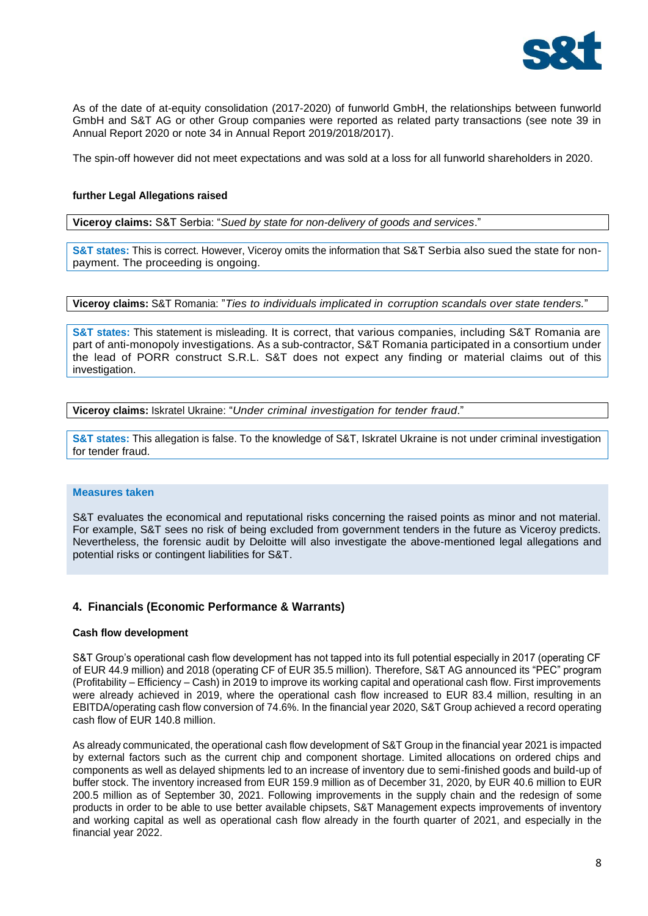

As of the date of at-equity consolidation (2017-2020) of funworld GmbH, the relationships between funworld GmbH and S&T AG or other Group companies were reported as related party transactions (see note 39 in Annual Report 2020 or note 34 in Annual Report 2019/2018/2017).

The spin-off however did not meet expectations and was sold at a loss for all funworld shareholders in 2020.

### **further Legal Allegations raised**

**Viceroy claims:** S&T Serbia: "*Sued by state for non-delivery of goods and services*."

**S&T states:** This is correct. However, Viceroy omits the information that S&T Serbia also sued the state for nonpayment. The proceeding is ongoing.

**Viceroy claims:** S&T Romania: "*Ties to individuals implicated in corruption scandals over state tenders.*"

**S&T states:** This statement is misleading. It is correct, that various companies, including S&T Romania are part of anti-monopoly investigations. As a sub-contractor, S&T Romania participated in a consortium under the lead of PORR construct S.R.L. S&T does not expect any finding or material claims out of this investigation.

**Viceroy claims:** Iskratel Ukraine: "*Under criminal investigation for tender fraud*."

**S&T states:** This allegation is false. To the knowledge of S&T, Iskratel Ukraine is not under criminal investigation for tender fraud.

#### **Measures taken**

S&T evaluates the economical and reputational risks concerning the raised points as minor and not material. For example, S&T sees no risk of being excluded from government tenders in the future as Viceroy predicts. Nevertheless, the forensic audit by Deloitte will also investigate the above-mentioned legal allegations and potential risks or contingent liabilities for S&T.

### **4. Financials (Economic Performance & Warrants)**

#### **Cash flow development**

S&T Group's operational cash flow development has not tapped into its full potential especially in 2017 (operating CF of EUR 44.9 million) and 2018 (operating CF of EUR 35.5 million). Therefore, S&T AG announced its "PEC" program (Profitability – Efficiency – Cash) in 2019 to improve its working capital and operational cash flow. First improvements were already achieved in 2019, where the operational cash flow increased to EUR 83.4 million, resulting in an EBITDA/operating cash flow conversion of 74.6%. In the financial year 2020, S&T Group achieved a record operating cash flow of EUR 140.8 million.

As already communicated, the operational cash flow development of S&T Group in the financial year 2021 is impacted by external factors such as the current chip and component shortage. Limited allocations on ordered chips and components as well as delayed shipments led to an increase of inventory due to semi-finished goods and build-up of buffer stock. The inventory increased from EUR 159.9 million as of December 31, 2020, by EUR 40.6 million to EUR 200.5 million as of September 30, 2021. Following improvements in the supply chain and the redesign of some products in order to be able to use better available chipsets, S&T Management expects improvements of inventory and working capital as well as operational cash flow already in the fourth quarter of 2021, and especially in the financial year 2022.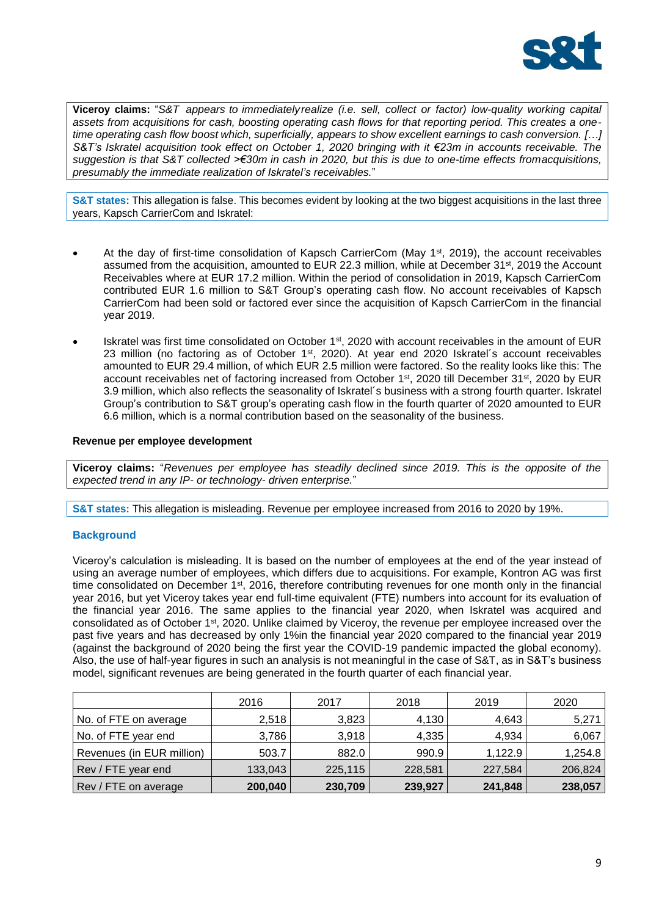

**Viceroy claims:** "*S&T appears to immediatelyrealize (i.e. sell, collect or factor) low-quality working capital assets from acquisitions for cash, boosting operating cash flows for that reporting period. This creates a onetime operating cash flow boost which, superficially, appears to show excellent earnings to cash conversion. […] S&T's Iskratel acquisition took effect on October 1, 2020 bringing with it €23m in accounts receivable. The* suggestion is that S&T collected >€30m in cash in 2020, but this is due to one-time effects fromacquisitions, *presumably the immediate realization of Iskratel's receivables.*"

**S&T states:** This allegation is false. This becomes evident by looking at the two biggest acquisitions in the last three years, Kapsch CarrierCom and Iskratel:

- At the day of first-time consolidation of Kapsch CarrierCom (May 1<sup>st</sup>, 2019), the account receivables assumed from the acquisition, amounted to EUR 22.3 million, while at December 31<sup>st</sup>, 2019 the Account Receivables where at EUR 17.2 million. Within the period of consolidation in 2019, Kapsch CarrierCom contributed EUR 1.6 million to S&T Group's operating cash flow. No account receivables of Kapsch CarrierCom had been sold or factored ever since the acquisition of Kapsch CarrierCom in the financial year 2019.
- Iskratel was first time consolidated on October 1<sup>st</sup>, 2020 with account receivables in the amount of EUR 23 million (no factoring as of October 1<sup>st</sup>, 2020). At year end 2020 Iskratel's account receivables amounted to EUR 29.4 million, of which EUR 2.5 million were factored. So the reality looks like this: The account receivables net of factoring increased from October 1<sup>st</sup>, 2020 till December 31<sup>st</sup>, 2020 by EUR 3.9 million, which also reflects the seasonality of Iskratel´s business with a strong fourth quarter. Iskratel Group's contribution to S&T group's operating cash flow in the fourth quarter of 2020 amounted to EUR 6.6 million, which is a normal contribution based on the seasonality of the business.

### **Revenue per employee development**

**Viceroy claims:** "*Revenues per employee has steadily declined since 2019. This is the opposite of the expected trend in any IP- or technology- driven enterprise.*"

**S&T states:** This allegation is misleading. Revenue per employee increased from 2016 to 2020 by 19%.

### **Background**

Viceroy's calculation is misleading. It is based on the number of employees at the end of the year instead of using an average number of employees, which differs due to acquisitions. For example, Kontron AG was first time consolidated on December 1<sup>st</sup>, 2016, therefore contributing revenues for one month only in the financial year 2016, but yet Viceroy takes year end full-time equivalent (FTE) numbers into account for its evaluation of the financial year 2016. The same applies to the financial year 2020, when Iskratel was acquired and consolidated as of October 1<sup>st</sup>, 2020. Unlike claimed by Viceroy, the revenue per employee increased over the past five years and has decreased by only 1%in the financial year 2020 compared to the financial year 2019 (against the background of 2020 being the first year the COVID-19 pandemic impacted the global economy). Also, the use of half-year figures in such an analysis is not meaningful in the case of S&T, as in S&T's business model, significant revenues are being generated in the fourth quarter of each financial year.

|                           | 2016    | 2017    | 2018    | 2019    | 2020    |
|---------------------------|---------|---------|---------|---------|---------|
| No. of FTE on average     | 2,518   | 3,823   | 4,130   | 4,643   | 5,271   |
| No. of FTE year end       | 3,786   | 3,918   | 4,335   | 4.934   | 6,067   |
| Revenues (in EUR million) | 503.7   | 882.0   | 990.9   | 1,122.9 | 1,254.8 |
| Rev / FTE year end        | 133,043 | 225,115 | 228,581 | 227,584 | 206,824 |
| Rev / FTE on average      | 200,040 | 230,709 | 239,927 | 241,848 | 238,057 |